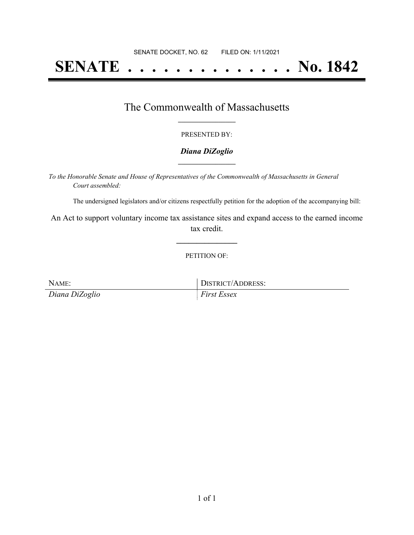# **SENATE . . . . . . . . . . . . . . No. 1842**

## The Commonwealth of Massachusetts **\_\_\_\_\_\_\_\_\_\_\_\_\_\_\_\_\_**

#### PRESENTED BY:

#### *Diana DiZoglio* **\_\_\_\_\_\_\_\_\_\_\_\_\_\_\_\_\_**

*To the Honorable Senate and House of Representatives of the Commonwealth of Massachusetts in General Court assembled:*

The undersigned legislators and/or citizens respectfully petition for the adoption of the accompanying bill:

An Act to support voluntary income tax assistance sites and expand access to the earned income tax credit.

**\_\_\_\_\_\_\_\_\_\_\_\_\_\_\_**

PETITION OF:

NAME: DISTRICT/ADDRESS: *Diana DiZoglio First Essex*